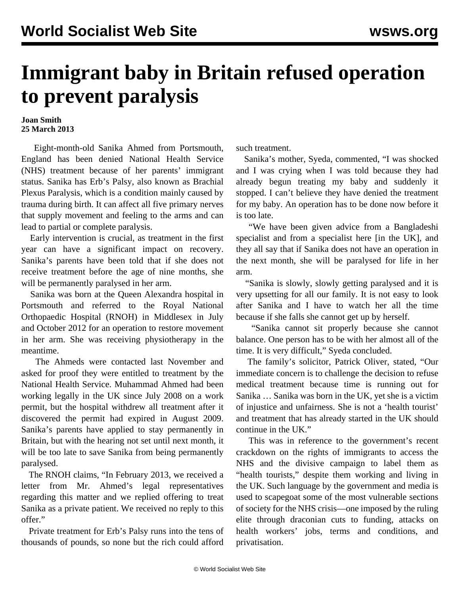## **Immigrant baby in Britain refused operation to prevent paralysis**

## **Joan Smith 25 March 2013**

 Eight-month-old Sanika Ahmed from Portsmouth, England has been denied National Health Service (NHS) treatment because of her parents' immigrant status. Sanika has Erb's Palsy, also known as Brachial Plexus Paralysis, which is a condition mainly caused by trauma during birth. It can affect all five primary nerves that supply movement and feeling to the arms and can lead to partial or complete paralysis.

 Early intervention is crucial, as treatment in the first year can have a significant impact on recovery. Sanika's parents have been told that if she does not receive treatment before the age of nine months, she will be permanently paralysed in her arm.

 Sanika was born at the Queen Alexandra hospital in Portsmouth and referred to the Royal National Orthopaedic Hospital (RNOH) in Middlesex in July and October 2012 for an operation to restore movement in her arm. She was receiving physiotherapy in the meantime.

 The Ahmeds were contacted last November and asked for proof they were entitled to treatment by the National Health Service. Muhammad Ahmed had been working legally in the UK since July 2008 on a work permit, but the hospital withdrew all treatment after it discovered the permit had expired in August 2009. Sanika's parents have applied to stay permanently in Britain, but with the hearing not set until next month, it will be too late to save Sanika from being permanently paralysed.

 The RNOH claims, "In February 2013, we received a letter from Mr. Ahmed's legal representatives regarding this matter and we replied offering to treat Sanika as a private patient. We received no reply to this offer."

 Private treatment for Erb's Palsy runs into the tens of thousands of pounds, so none but the rich could afford such treatment.

 Sanika's mother, Syeda, commented, "I was shocked and I was crying when I was told because they had already begun treating my baby and suddenly it stopped. I can't believe they have denied the treatment for my baby. An operation has to be done now before it is too late.

 "We have been given advice from a Bangladeshi specialist and from a specialist here [in the UK], and they all say that if Sanika does not have an operation in the next month, she will be paralysed for life in her arm.

 "Sanika is slowly, slowly getting paralysed and it is very upsetting for all our family. It is not easy to look after Sanika and I have to watch her all the time because if she falls she cannot get up by herself.

 "Sanika cannot sit properly because she cannot balance. One person has to be with her almost all of the time. It is very difficult," Syeda concluded.

 The family's solicitor, Patrick Oliver, stated, "Our immediate concern is to challenge the decision to refuse medical treatment because time is running out for Sanika … Sanika was born in the UK, yet she is a victim of injustice and unfairness. She is not a 'health tourist' and treatment that has already started in the UK should continue in the UK."

 This was in reference to the government's recent crackdown on the rights of immigrants to access the NHS and the divisive campaign to label them as "health tourists," despite them working and living in the UK. Such language by the government and media is used to scapegoat some of the most vulnerable sections of society for the NHS crisis—one imposed by the ruling elite through draconian cuts to funding, attacks on health workers' jobs, terms and conditions, and privatisation.